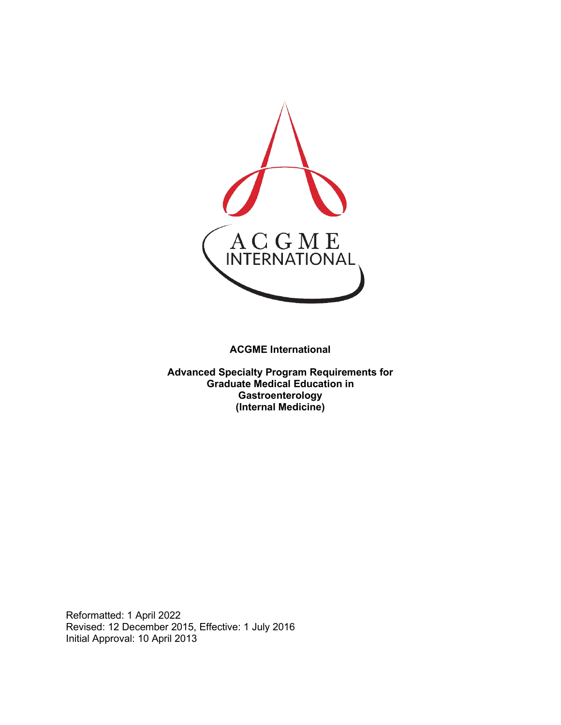

**ACGME International** 

**Advanced Specialty Program Requirements for Graduate Medical Education in Gastroenterology (Internal Medicine)**

Reformatted: 1 April 2022 Revised: 12 December 2015, Effective: 1 July 2016 Initial Approval: 10 April 2013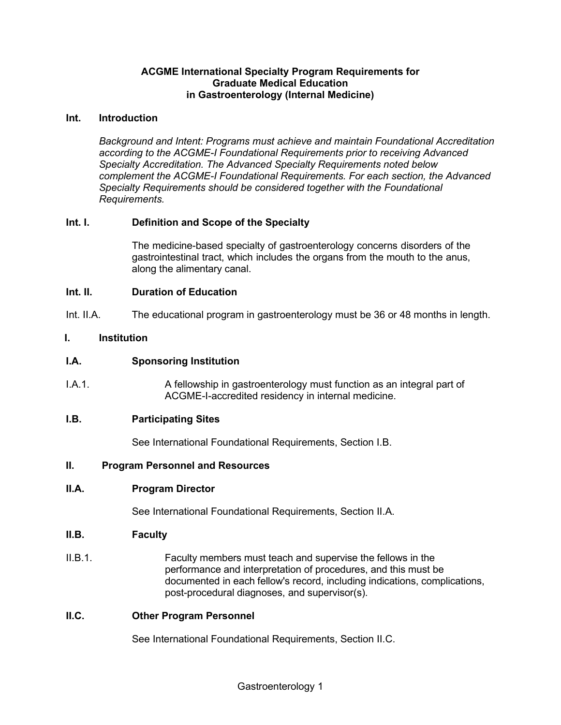#### **ACGME International Specialty Program Requirements for Graduate Medical Education in Gastroenterology (Internal Medicine)**

#### **Int. Introduction**

*Background and Intent: Programs must achieve and maintain Foundational Accreditation according to the ACGME-I Foundational Requirements prior to receiving Advanced Specialty Accreditation. The Advanced Specialty Requirements noted below complement the ACGME-I Foundational Requirements. For each section, the Advanced Specialty Requirements should be considered together with the Foundational Requirements.*

# **Int. I. Definition and Scope of the Specialty**

The medicine-based specialty of gastroenterology concerns disorders of the gastrointestinal tract, which includes the organs from the mouth to the anus, along the alimentary canal.

#### **Int. II. Duration of Education**

Int. II.A. The educational program in gastroenterology must be 36 or 48 months in length.

#### **I. Institution**

#### **I.A. Sponsoring Institution**

I.A.1. A fellowship in gastroenterology must function as an integral part of ACGME-I-accredited residency in internal medicine.

#### **I.B. Participating Sites**

See International Foundational Requirements, Section I.B.

#### **II. Program Personnel and Resources**

#### **II.A. Program Director**

See International Foundational Requirements, Section II.A.

#### **II.B. Faculty**

II.B.1. Faculty members must teach and supervise the fellows in the performance and interpretation of procedures, and this must be documented in each fellow's record, including indications, complications, post-procedural diagnoses, and supervisor(s).

# **II.C. Other Program Personnel**

See International Foundational Requirements, Section II.C.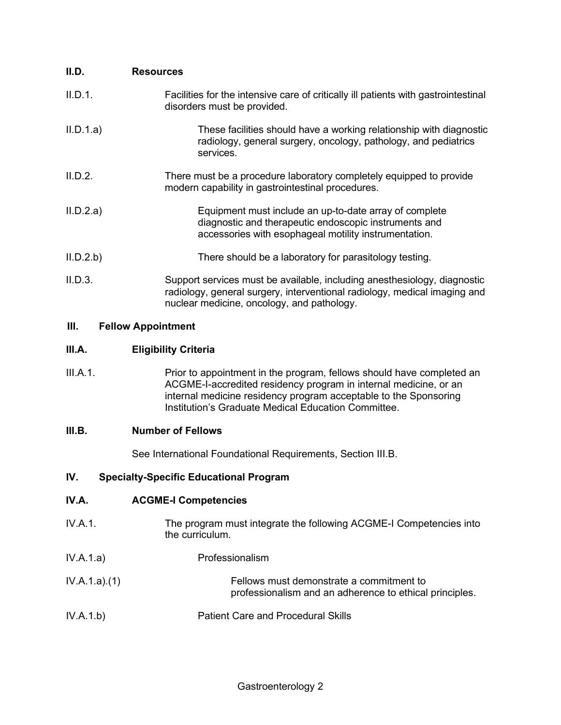| II.D.     | <b>Resources</b>                                                                                                                                                                                    |
|-----------|-----------------------------------------------------------------------------------------------------------------------------------------------------------------------------------------------------|
| II.D.1.   | Facilities for the intensive care of critically ill patients with gastrointestinal<br>disorders must be provided.                                                                                   |
| II.D.1.a) | These facilities should have a working relationship with diagnostic<br>radiology, general surgery, oncology, pathology, and pediatrics<br>services.                                                 |
| II.D.2.   | There must be a procedure laboratory completely equipped to provide<br>modern capability in gastrointestinal procedures.                                                                            |
| II.D.2.a) | Equipment must include an up-to-date array of complete<br>diagnostic and therapeutic endoscopic instruments and<br>accessories with esophageal motility instrumentation.                            |
| II.D.2.b  | There should be a laboratory for parasitology testing.                                                                                                                                              |
| II.D.3.   | Support services must be available, including anesthesiology, diagnostic<br>radiology, general surgery, interventional radiology, medical imaging and<br>nuclear medicine, oncology, and pathology. |

# **III. Fellow Appointment**

# **III.A. Eligibility Criteria**

III.A.1. Prior to appointment in the program, fellows should have completed an ACGME-I-accredited residency program in internal medicine, or an internal medicine residency program acceptable to the Sponsoring Institution's Graduate Medical Education Committee.

# **III.B. Number of Fellows**

See International Foundational Requirements, Section III.B.

# **IV. Specialty-Specific Educational Program**

# **IV.A. ACGME-I Competencies**

- IV.A.1. The program must integrate the following ACGME-I Competencies into the curriculum.
- IV.A.1.a) Professionalism
- IV.A.1.a).(1) Fellows must demonstrate a commitment to professionalism and an adherence to ethical principles.
- IV.A.1.b) Patient Care and Procedural Skills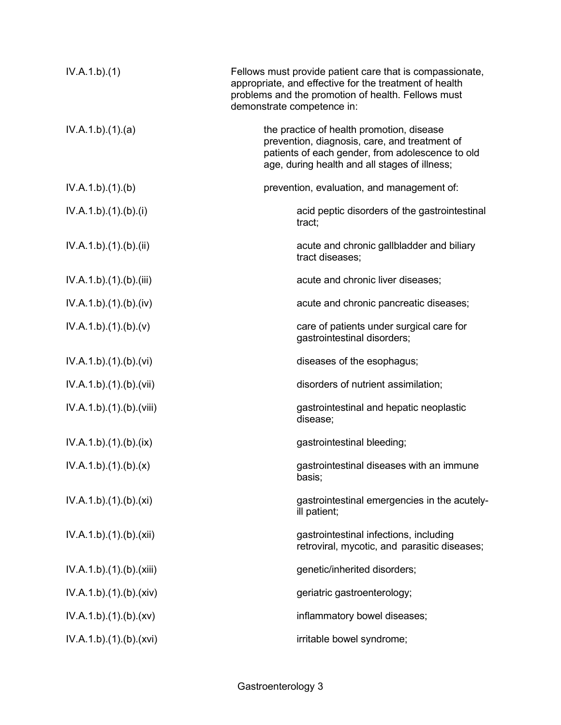| IV.A.1.b)(1)             | Fellows must provide patient care that is compassionate,<br>appropriate, and effective for the treatment of health<br>problems and the promotion of health. Fellows must<br>demonstrate competence in: |
|--------------------------|--------------------------------------------------------------------------------------------------------------------------------------------------------------------------------------------------------|
| IV.A.1.b)(1)(a)          | the practice of health promotion, disease<br>prevention, diagnosis, care, and treatment of<br>patients of each gender, from adolescence to old<br>age, during health and all stages of illness;        |
| IV.A.1.b)(1)(b)          | prevention, evaluation, and management of:                                                                                                                                                             |
| IV.A.1.b)(1)(b)(i)       | acid peptic disorders of the gastrointestinal<br>tract;                                                                                                                                                |
| IV.A.1.b)(1)(b)(ii)      | acute and chronic gallbladder and biliary<br>tract diseases;                                                                                                                                           |
| IV.A.1.b)(1)(b)(iii)     | acute and chronic liver diseases;                                                                                                                                                                      |
| IV.A.1.b)(1)(b)(iv)      | acute and chronic pancreatic diseases;                                                                                                                                                                 |
| IV.A.1.b)(1)(b)(v)       | care of patients under surgical care for<br>gastrointestinal disorders;                                                                                                                                |
| IV.A.1.b)(1)(b)(vi)      | diseases of the esophagus;                                                                                                                                                                             |
| IV.A.1.b).(1).(b).(vii)  | disorders of nutrient assimilation;                                                                                                                                                                    |
| IV.A.1.b).(1).(b).(viii) | gastrointestinal and hepatic neoplastic<br>disease;                                                                                                                                                    |
| IV.A.1.b)(1)(b)(ix)      | gastrointestinal bleeding;                                                                                                                                                                             |
| IV.A.1.b)(1)(b)(x)       | gastrointestinal diseases with an immune<br>basis;                                                                                                                                                     |
| IV.A.1.b)(1)(b)(xi)      | gastrointestinal emergencies in the acutely-<br>ill patient;                                                                                                                                           |
| IV.A.1.b)(1)(b)(xii)     | gastrointestinal infections, including<br>retroviral, mycotic, and parasitic diseases;                                                                                                                 |
| IV.A.1.b)(1)(b)(xiii)    | genetic/inherited disorders;                                                                                                                                                                           |
| IV.A.1.b)(1)(b)(xiv)     | geriatric gastroenterology;                                                                                                                                                                            |
| IV.A.1.b)(1)(b)(xv)      | inflammatory bowel diseases;                                                                                                                                                                           |
| IV.A.1.b)(1)(b)(xvi)     | irritable bowel syndrome;                                                                                                                                                                              |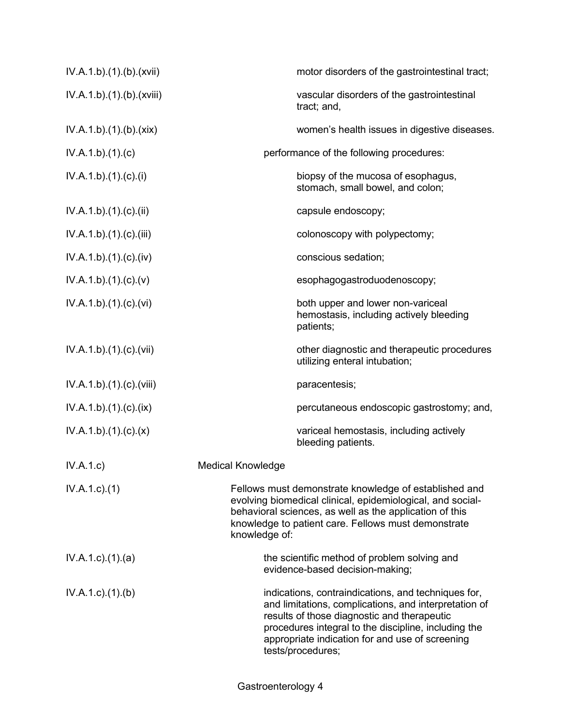| IV.A.1.b)(1)(b)(xvii)    | motor disorders of the gastrointestinal tract;                                                                                                                                                                                                                                              |
|--------------------------|---------------------------------------------------------------------------------------------------------------------------------------------------------------------------------------------------------------------------------------------------------------------------------------------|
| IV.A.1.b)(1)(b)(xviii)   | vascular disorders of the gastrointestinal<br>tract; and,                                                                                                                                                                                                                                   |
| IV.A.1.b)(1)(b)(xix)     | women's health issues in digestive diseases.                                                                                                                                                                                                                                                |
| IV.A.1.b)(1)(c)          | performance of the following procedures:                                                                                                                                                                                                                                                    |
| IV.A.1.b)(1)(c)(i)       | biopsy of the mucosa of esophagus,<br>stomach, small bowel, and colon;                                                                                                                                                                                                                      |
| IV.A.1.b).(1).(c).(ii)   | capsule endoscopy;                                                                                                                                                                                                                                                                          |
| IV.A.1.b)(1)(c)(iii)     | colonoscopy with polypectomy;                                                                                                                                                                                                                                                               |
| IV.A.1.b)(1)(c)(iv)      | conscious sedation;                                                                                                                                                                                                                                                                         |
| IV.A.1.b)(1)(c)(v)       | esophagogastroduodenoscopy;                                                                                                                                                                                                                                                                 |
| IV.A.1.b)(1)(c)(vi)      | both upper and lower non-variceal<br>hemostasis, including actively bleeding<br>patients;                                                                                                                                                                                                   |
| IV.A.1.b)(1)(c)(vii)     | other diagnostic and therapeutic procedures<br>utilizing enteral intubation;                                                                                                                                                                                                                |
| IV.A.1.b).(1).(c).(viii) | paracentesis;                                                                                                                                                                                                                                                                               |
| IV.A.1.b)(1)(c)(ix)      | percutaneous endoscopic gastrostomy; and,                                                                                                                                                                                                                                                   |
| IV.A.1.b)(1)(c)(x)       | variceal hemostasis, including actively<br>bleeding patients.                                                                                                                                                                                                                               |
| IV.A.1.c                 | <b>Medical Knowledge</b>                                                                                                                                                                                                                                                                    |
| $IV.A.1.c.$ (1)          | Fellows must demonstrate knowledge of established and<br>evolving biomedical clinical, epidemiological, and social-<br>behavioral sciences, as well as the application of this<br>knowledge to patient care. Fellows must demonstrate<br>knowledge of:                                      |
| IV.A.1.c.1(1).(a)        | the scientific method of problem solving and<br>evidence-based decision-making;                                                                                                                                                                                                             |
| $IV.A.1.c$ . $(1).$ (b)  | indications, contraindications, and techniques for,<br>and limitations, complications, and interpretation of<br>results of those diagnostic and therapeutic<br>procedures integral to the discipline, including the<br>appropriate indication for and use of screening<br>tests/procedures; |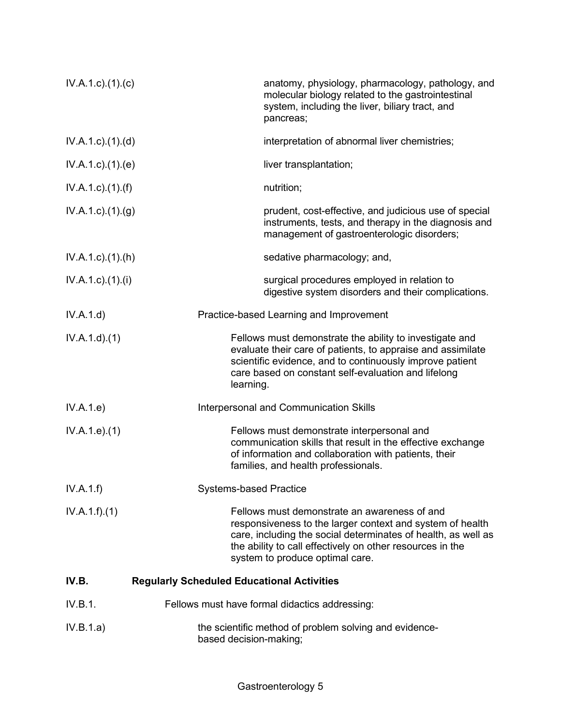| $IV.A.1.c$ ). $(1).$ (c)  | anatomy, physiology, pharmacology, pathology, and<br>molecular biology related to the gastrointestinal<br>system, including the liver, biliary tract, and<br>pancreas;                                                                                                     |
|---------------------------|----------------------------------------------------------------------------------------------------------------------------------------------------------------------------------------------------------------------------------------------------------------------------|
| $IV.A.1.c$ . $(1).$ $(d)$ | interpretation of abnormal liver chemistries;                                                                                                                                                                                                                              |
| $IV.A.1.c$ . $(1).$ $(e)$ | liver transplantation;                                                                                                                                                                                                                                                     |
| IV.A.1.c).(1).(f)         | nutrition;                                                                                                                                                                                                                                                                 |
| $IV.A.1.c.$ (1) (g)       | prudent, cost-effective, and judicious use of special<br>instruments, tests, and therapy in the diagnosis and<br>management of gastroenterologic disorders;                                                                                                                |
| $IV.A.1.c$ . $(1).(h)$    | sedative pharmacology; and,                                                                                                                                                                                                                                                |
| IV.A.1.c).(1).(i)         | surgical procedures employed in relation to<br>digestive system disorders and their complications.                                                                                                                                                                         |
| IV.A.1.d)                 | Practice-based Learning and Improvement                                                                                                                                                                                                                                    |
| IV.A.1.d)(1)              | Fellows must demonstrate the ability to investigate and<br>evaluate their care of patients, to appraise and assimilate<br>scientific evidence, and to continuously improve patient<br>care based on constant self-evaluation and lifelong<br>learning.                     |
| IV.A.1.e)                 | <b>Interpersonal and Communication Skills</b>                                                                                                                                                                                                                              |
| IV.A.1.e. (1)             | Fellows must demonstrate interpersonal and<br>communication skills that result in the effective exchange<br>of information and collaboration with patients, their<br>families, and health professionals.                                                                   |
| IV.A.1.f)                 | <b>Systems-based Practice</b>                                                                                                                                                                                                                                              |
| IV.A.1.f)(1)              | Fellows must demonstrate an awareness of and<br>responsiveness to the larger context and system of health<br>care, including the social determinates of health, as well as<br>the ability to call effectively on other resources in the<br>system to produce optimal care. |
| IV.B.                     | <b>Regularly Scheduled Educational Activities</b>                                                                                                                                                                                                                          |
| IV.B.1.                   | Fellows must have formal didactics addressing:                                                                                                                                                                                                                             |
| IV.B.1.a)                 | the scientific method of problem solving and evidence-<br>based decision-making;                                                                                                                                                                                           |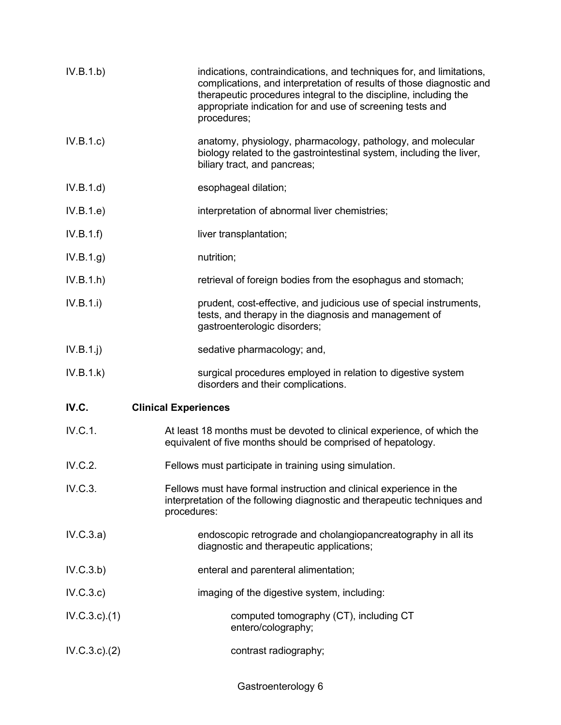| IV.B.1.b)     | indications, contraindications, and techniques for, and limitations,<br>complications, and interpretation of results of those diagnostic and<br>therapeutic procedures integral to the discipline, including the<br>appropriate indication for and use of screening tests and<br>procedures; |
|---------------|----------------------------------------------------------------------------------------------------------------------------------------------------------------------------------------------------------------------------------------------------------------------------------------------|
| IV.B.1.c)     | anatomy, physiology, pharmacology, pathology, and molecular<br>biology related to the gastrointestinal system, including the liver,<br>biliary tract, and pancreas;                                                                                                                          |
| IV.B.1.d)     | esophageal dilation;                                                                                                                                                                                                                                                                         |
| IV.B.1.e)     | interpretation of abnormal liver chemistries;                                                                                                                                                                                                                                                |
| IV.B.1.f)     | liver transplantation;                                                                                                                                                                                                                                                                       |
| IV.B.1.g)     | nutrition;                                                                                                                                                                                                                                                                                   |
| IV.B.1.h)     | retrieval of foreign bodies from the esophagus and stomach;                                                                                                                                                                                                                                  |
| IV.B.1.i)     | prudent, cost-effective, and judicious use of special instruments,<br>tests, and therapy in the diagnosis and management of<br>gastroenterologic disorders;                                                                                                                                  |
| $IV.B.1.$ j   | sedative pharmacology; and,                                                                                                                                                                                                                                                                  |
| IV.B.1.k)     | surgical procedures employed in relation to digestive system<br>disorders and their complications.                                                                                                                                                                                           |
| IV.C.         | <b>Clinical Experiences</b>                                                                                                                                                                                                                                                                  |
| IV.C.1.       | At least 18 months must be devoted to clinical experience, of which the<br>equivalent of five months should be comprised of hepatology.                                                                                                                                                      |
| IV.C.2.       | Fellows must participate in training using simulation.                                                                                                                                                                                                                                       |
| IV.C.3.       | Fellows must have formal instruction and clinical experience in the<br>interpretation of the following diagnostic and therapeutic techniques and<br>procedures:                                                                                                                              |
| IV.C.3.a)     | endoscopic retrograde and cholangiopancreatography in all its<br>diagnostic and therapeutic applications;                                                                                                                                                                                    |
| IV.C.3.b)     | enteral and parenteral alimentation;                                                                                                                                                                                                                                                         |
| IV.C.3.c)     | imaging of the digestive system, including:                                                                                                                                                                                                                                                  |
| IV.C.3.c.1)   | computed tomography (CT), including CT<br>entero/colography;                                                                                                                                                                                                                                 |
| IV.C.3.c.)(2) | contrast radiography;                                                                                                                                                                                                                                                                        |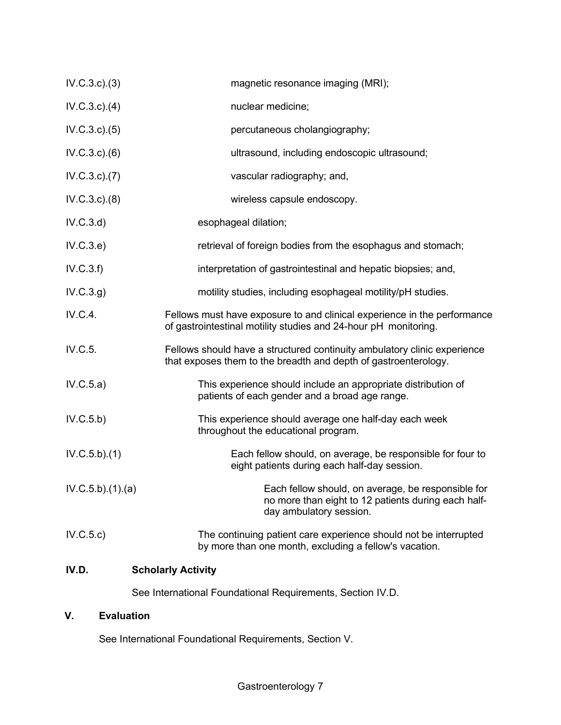| IV.D.             | <b>Scholarly Activity</b>                                                                                                                   |
|-------------------|---------------------------------------------------------------------------------------------------------------------------------------------|
| IV.C.5.c)         | The continuing patient care experience should not be interrupted<br>by more than one month, excluding a fellow's vacation.                  |
| IV.C.5.b)(1)(a)   | Each fellow should, on average, be responsible for<br>no more than eight to 12 patients during each half-<br>day ambulatory session.        |
| IV.C.5.b)(1)      | Each fellow should, on average, be responsible for four to<br>eight patients during each half-day session.                                  |
| IV.C.5.b)         | This experience should average one half-day each week<br>throughout the educational program.                                                |
| IV.C.5.a)         | This experience should include an appropriate distribution of<br>patients of each gender and a broad age range.                             |
| IV.C.5.           | Fellows should have a structured continuity ambulatory clinic experience<br>that exposes them to the breadth and depth of gastroenterology. |
| IV.C.4.           | Fellows must have exposure to and clinical experience in the performance<br>of gastrointestinal motility studies and 24-hour pH monitoring. |
| IV.C.3.g)         | motility studies, including esophageal motility/pH studies.                                                                                 |
| IV.C.3.f)         | interpretation of gastrointestinal and hepatic biopsies; and,                                                                               |
| IV.C.3.e)         | retrieval of foreign bodies from the esophagus and stomach;                                                                                 |
| IV.C.3.d)         | esophageal dilation;                                                                                                                        |
| IV.C.3.c.3(8)     | wireless capsule endoscopy.                                                                                                                 |
| IV.C.3.c. (7)     | vascular radiography; and,                                                                                                                  |
| $IV.C.3.c.$ $(6)$ | ultrasound, including endoscopic ultrasound;                                                                                                |
| IV.C.3.c. (5)     | percutaneous cholangiography;                                                                                                               |
| $IV.C.3.c.$ (4)   | nuclear medicine;                                                                                                                           |
| IV.C.3.c.3(3)     | magnetic resonance imaging (MRI);                                                                                                           |

See International Foundational Requirements, Section IV.D.

# **V. Evaluation**

See International Foundational Requirements, Section V.